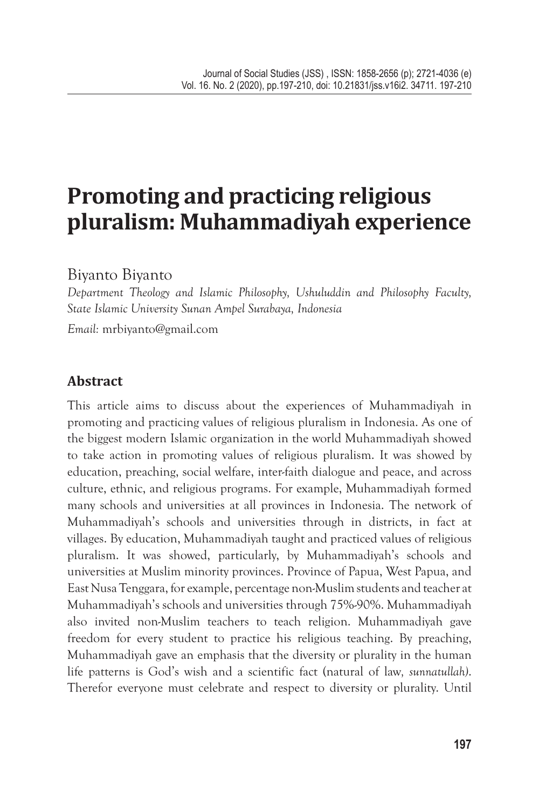# **Promoting and practicing religious pluralism: Muhammadiyah experience**

Biyanto Biyanto

*Department Theology and Islamic Philosophy, Ushuluddin and Philosophy Faculty, State Islamic University Sunan Ampel Surabaya, Indonesia Email:* mrbiyanto@gmail.com

# **Abstract**

This article aims to discuss about the experiences of Muhammadiyah in promoting and practicing values of religious pluralism in Indonesia. As one of the biggest modern Islamic organization in the world Muhammadiyah showed to take action in promoting values of religious pluralism. It was showed by education, preaching, social welfare, inter-faith dialogue and peace, and across culture, ethnic, and religious programs. For example, Muhammadiyah formed many schools and universities at all provinces in Indonesia. The network of Muhammadiyah's schools and universities through in districts, in fact at villages. By education, Muhammadiyah taught and practiced values of religious pluralism. It was showed, particularly, by Muhammadiyah's schools and universities at Muslim minority provinces. Province of Papua, West Papua, and East Nusa Tenggara, for example, percentage non-Muslim students and teacher at Muhammadiyah's schools and universities through 75%-90%. Muhammadiyah also invited non-Muslim teachers to teach religion. Muhammadiyah gave freedom for every student to practice his religious teaching. By preaching, Muhammadiyah gave an emphasis that the diversity or plurality in the human life patterns is God's wish and a scientific fact (natural of law*, sunnatullah)*. Therefor everyone must celebrate and respect to diversity or plurality. Until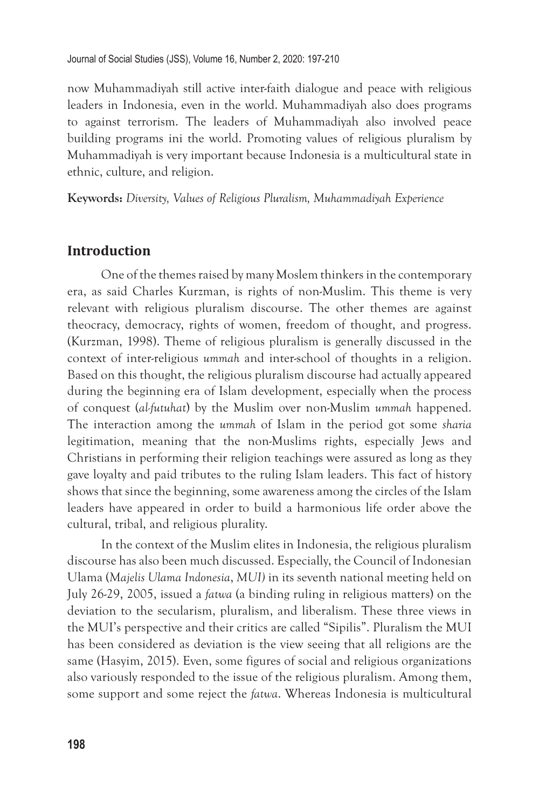now Muhammadiyah still active inter-faith dialogue and peace with religious leaders in Indonesia, even in the world. Muhammadiyah also does programs to against terrorism. The leaders of Muhammadiyah also involved peace building programs ini the world. Promoting values of religious pluralism by Muhammadiyah is very important because Indonesia is a multicultural state in ethnic, culture, and religion.

**Keywords:** *Diversity, Values of Religious Pluralism, Muhammadiyah Experience* 

#### **Introduction**

One of the themes raised by many Moslem thinkers in the contemporary era, as said Charles Kurzman, is rights of non-Muslim. This theme is very relevant with religious pluralism discourse. The other themes are against theocracy, democracy, rights of women, freedom of thought, and progress. (Kurzman, 1998). Theme of religious pluralism is generally discussed in the context of inter-religious *ummah* and inter-school of thoughts in a religion. Based on this thought, the religious pluralism discourse had actually appeared during the beginning era of Islam development, especially when the process of conquest (*al-futuhat*) by the Muslim over non-Muslim *ummah* happened. The interaction among the *ummah* of Islam in the period got some *sharia* legitimation, meaning that the non-Muslims rights, especially Jews and Christians in performing their religion teachings were assured as long as they gave loyalty and paid tributes to the ruling Islam leaders. This fact of history shows that since the beginning, some awareness among the circles of the Islam leaders have appeared in order to build a harmonious life order above the cultural, tribal, and religious plurality.

In the context of the Muslim elites in Indonesia, the religious pluralism discourse has also been much discussed. Especially, the Council of Indonesian Ulama (*Majelis Ulama Indonesia*, *MUI)* in its seventh national meeting held on July 26-29, 2005, issued a *fatwa* (a binding ruling in religious matters) on the deviation to the secularism, pluralism, and liberalism. These three views in the MUI's perspective and their critics are called "Sipilis". Pluralism the MUI has been considered as deviation is the view seeing that all religions are the same (Hasyim, 2015). Even, some figures of social and religious organizations also variously responded to the issue of the religious pluralism. Among them, some support and some reject the *fatwa*. Whereas Indonesia is multicultural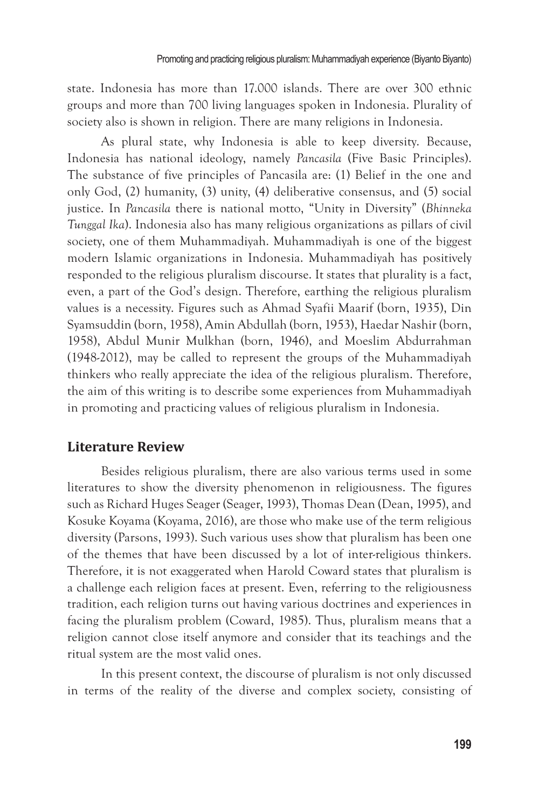state. Indonesia has more than 17.000 islands. There are over 300 ethnic groups and more than 700 living languages spoken in Indonesia. Plurality of society also is shown in religion. There are many religions in Indonesia.

As plural state, why Indonesia is able to keep diversity. Because, Indonesia has national ideology, namely *Pancasila* (Five Basic Principles). The substance of five principles of Pancasila are: (1) Belief in the one and only God, (2) humanity, (3) unity, (4) deliberative consensus, and (5) social justice. In *Pancasila* there is national motto, "Unity in Diversity" (*Bhinneka Tunggal Ika*). Indonesia also has many religious organizations as pillars of civil society, one of them Muhammadiyah. Muhammadiyah is one of the biggest modern Islamic organizations in Indonesia. Muhammadiyah has positively responded to the religious pluralism discourse. It states that plurality is a fact, even, a part of the God's design. Therefore, earthing the religious pluralism values is a necessity. Figures such as Ahmad Syafii Maarif (born, 1935), Din Syamsuddin (born, 1958), Amin Abdullah (born, 1953), Haedar Nashir (born, 1958), Abdul Munir Mulkhan (born, 1946), and Moeslim Abdurrahman (1948-2012), may be called to represent the groups of the Muhammadiyah thinkers who really appreciate the idea of the religious pluralism. Therefore, the aim of this writing is to describe some experiences from Muhammadiyah in promoting and practicing values of religious pluralism in Indonesia.

#### **Literature Review**

Besides religious pluralism, there are also various terms used in some literatures to show the diversity phenomenon in religiousness. The figures such as Richard Huges Seager (Seager, 1993), Thomas Dean (Dean, 1995), and Kosuke Koyama (Koyama, 2016), are those who make use of the term religious diversity (Parsons, 1993). Such various uses show that pluralism has been one of the themes that have been discussed by a lot of inter-religious thinkers. Therefore, it is not exaggerated when Harold Coward states that pluralism is a challenge each religion faces at present. Even, referring to the religiousness tradition, each religion turns out having various doctrines and experiences in facing the pluralism problem (Coward, 1985). Thus, pluralism means that a religion cannot close itself anymore and consider that its teachings and the ritual system are the most valid ones.

In this present context, the discourse of pluralism is not only discussed in terms of the reality of the diverse and complex society, consisting of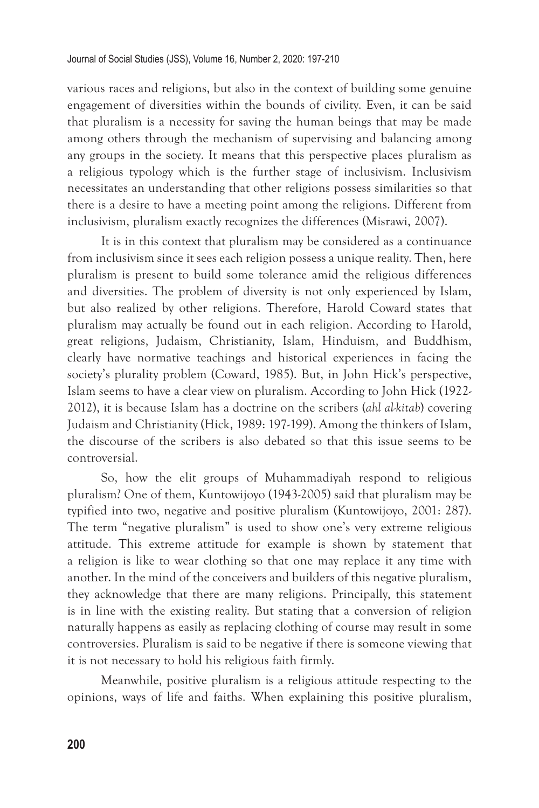various races and religions, but also in the context of building some genuine engagement of diversities within the bounds of civility. Even, it can be said that pluralism is a necessity for saving the human beings that may be made among others through the mechanism of supervising and balancing among any groups in the society. It means that this perspective places pluralism as a religious typology which is the further stage of inclusivism. Inclusivism necessitates an understanding that other religions possess similarities so that there is a desire to have a meeting point among the religions. Different from inclusivism, pluralism exactly recognizes the differences (Misrawi, 2007).

It is in this context that pluralism may be considered as a continuance from inclusivism since it sees each religion possess a unique reality. Then, here pluralism is present to build some tolerance amid the religious differences and diversities. The problem of diversity is not only experienced by Islam, but also realized by other religions. Therefore, Harold Coward states that pluralism may actually be found out in each religion. According to Harold, great religions, Judaism, Christianity, Islam, Hinduism, and Buddhism, clearly have normative teachings and historical experiences in facing the society's plurality problem (Coward, 1985). But, in John Hick's perspective, Islam seems to have a clear view on pluralism. According to John Hick (1922- 2012), it is because Islam has a doctrine on the scribers (*ahl al-kitab*) covering Judaism and Christianity (Hick, 1989: 197-199). Among the thinkers of Islam, the discourse of the scribers is also debated so that this issue seems to be controversial.

So, how the elit groups of Muhammadiyah respond to religious pluralism? One of them, Kuntowijoyo (1943-2005) said that pluralism may be typified into two, negative and positive pluralism (Kuntowijoyo, 2001: 287). The term "negative pluralism" is used to show one's very extreme religious attitude. This extreme attitude for example is shown by statement that a religion is like to wear clothing so that one may replace it any time with another. In the mind of the conceivers and builders of this negative pluralism, they acknowledge that there are many religions. Principally, this statement is in line with the existing reality. But stating that a conversion of religion naturally happens as easily as replacing clothing of course may result in some controversies. Pluralism is said to be negative if there is someone viewing that it is not necessary to hold his religious faith firmly.

Meanwhile, positive pluralism is a religious attitude respecting to the opinions, ways of life and faiths. When explaining this positive pluralism,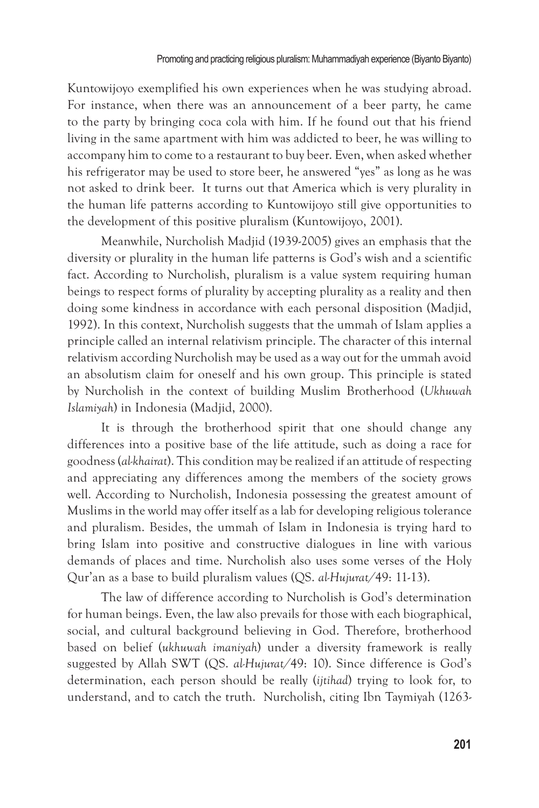Kuntowijoyo exemplified his own experiences when he was studying abroad. For instance, when there was an announcement of a beer party, he came to the party by bringing coca cola with him. If he found out that his friend living in the same apartment with him was addicted to beer, he was willing to accompany him to come to a restaurant to buy beer. Even, when asked whether his refrigerator may be used to store beer, he answered "yes" as long as he was not asked to drink beer. It turns out that America which is very plurality in the human life patterns according to Kuntowijoyo still give opportunities to the development of this positive pluralism (Kuntowijoyo, 2001).

Meanwhile, Nurcholish Madjid (1939-2005) gives an emphasis that the diversity or plurality in the human life patterns is God's wish and a scientific fact. According to Nurcholish, pluralism is a value system requiring human beings to respect forms of plurality by accepting plurality as a reality and then doing some kindness in accordance with each personal disposition (Madjid, 1992). In this context, Nurcholish suggests that the ummah of Islam applies a principle called an internal relativism principle. The character of this internal relativism according Nurcholish may be used as a way out for the ummah avoid an absolutism claim for oneself and his own group. This principle is stated by Nurcholish in the context of building Muslim Brotherhood (*Ukhuwah Islamiyah*) in Indonesia (Madjid, 2000).

It is through the brotherhood spirit that one should change any differences into a positive base of the life attitude, such as doing a race for goodness (*al-khairat*). This condition may be realized if an attitude of respecting and appreciating any differences among the members of the society grows well. According to Nurcholish, Indonesia possessing the greatest amount of Muslims in the world may offer itself as a lab for developing religious tolerance and pluralism. Besides, the ummah of Islam in Indonesia is trying hard to bring Islam into positive and constructive dialogues in line with various demands of places and time. Nurcholish also uses some verses of the Holy Qur'an as a base to build pluralism values (QS. *al-Hujurat/*49: 11-13).

The law of difference according to Nurcholish is God's determination for human beings. Even, the law also prevails for those with each biographical, social, and cultural background believing in God. Therefore, brotherhood based on belief (*ukhuwah imaniyah*) under a diversity framework is really suggested by Allah SWT (QS. *al-Hujurat/*49: 10). Since difference is God's determination, each person should be really (*ijtihad*) trying to look for, to understand, and to catch the truth. Nurcholish, citing Ibn Taymiyah (1263-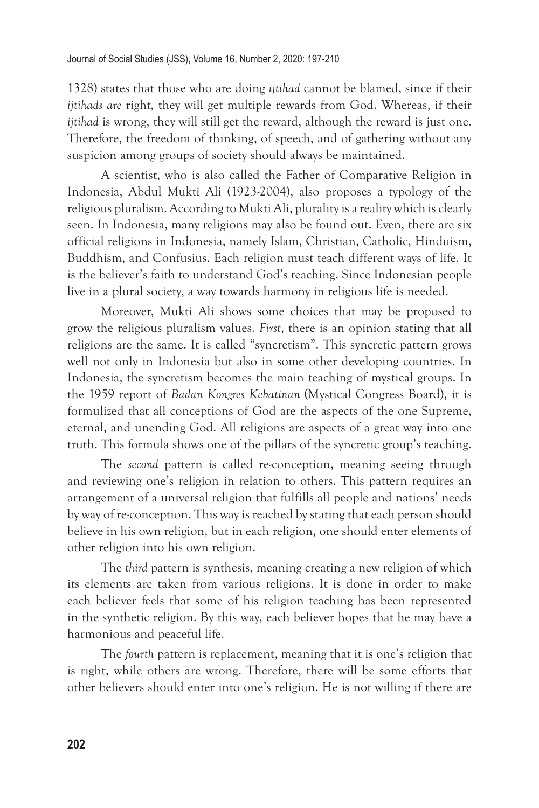1328) states that those who are doing *ijtihad* cannot be blamed, since if their *ijtihads are* right*,* they will get multiple rewards from God. Whereas, if their *ijtihad* is wrong, they will still get the reward, although the reward is just one. Therefore, the freedom of thinking, of speech, and of gathering without any suspicion among groups of society should always be maintained.

A scientist, who is also called the Father of Comparative Religion in Indonesia, Abdul Mukti Ali (1923-2004), also proposes a typology of the religious pluralism. According to Mukti Ali, plurality is a reality which is clearly seen. In Indonesia, many religions may also be found out. Even, there are six official religions in Indonesia, namely Islam, Christian, Catholic, Hinduism, Buddhism, and Confusius. Each religion must teach different ways of life. It is the believer's faith to understand God's teaching. Since Indonesian people live in a plural society, a way towards harmony in religious life is needed.

Moreover, Mukti Ali shows some choices that may be proposed to grow the religious pluralism values. *First*, there is an opinion stating that all religions are the same. It is called "syncretism". This syncretic pattern grows well not only in Indonesia but also in some other developing countries. In Indonesia, the syncretism becomes the main teaching of mystical groups. In the 1959 report of *Badan Kongres Kebatinan* (Mystical Congress Board), it is formulized that all conceptions of God are the aspects of the one Supreme, eternal, and unending God. All religions are aspects of a great way into one truth. This formula shows one of the pillars of the syncretic group's teaching.

The *second* pattern is called re-conception, meaning seeing through and reviewing one's religion in relation to others. This pattern requires an arrangement of a universal religion that fulfills all people and nations' needs by way of re-conception. This way is reached by stating that each person should believe in his own religion, but in each religion, one should enter elements of other religion into his own religion.

The *third* pattern is synthesis, meaning creating a new religion of which its elements are taken from various religions. It is done in order to make each believer feels that some of his religion teaching has been represented in the synthetic religion. By this way, each believer hopes that he may have a harmonious and peaceful life.

The *fourth* pattern is replacement, meaning that it is one's religion that is right, while others are wrong. Therefore, there will be some efforts that other believers should enter into one's religion. He is not willing if there are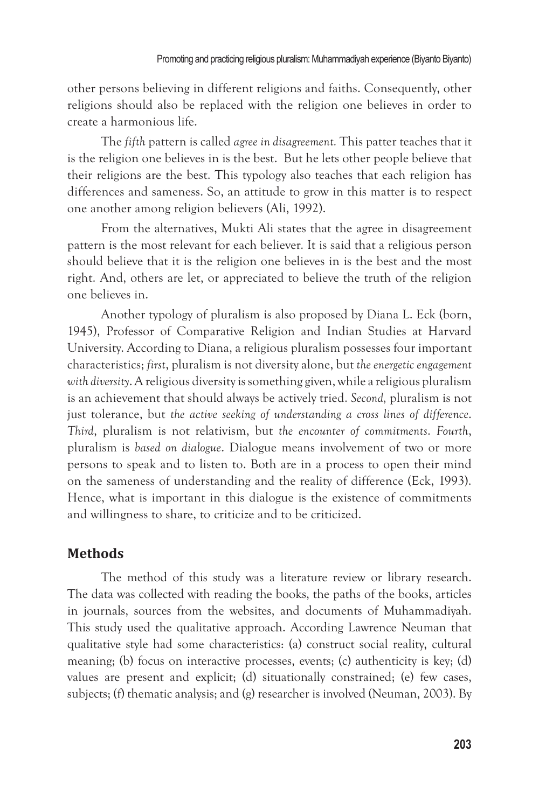other persons believing in different religions and faiths. Consequently, other religions should also be replaced with the religion one believes in order to create a harmonious life.

The *fifth* pattern is called *agree in disagreement.* This patter teaches that it is the religion one believes in is the best. But he lets other people believe that their religions are the best. This typology also teaches that each religion has differences and sameness. So, an attitude to grow in this matter is to respect one another among religion believers (Ali, 1992).

From the alternatives, Mukti Ali states that the agree in disagreement pattern is the most relevant for each believer. It is said that a religious person should believe that it is the religion one believes in is the best and the most right. And, others are let, or appreciated to believe the truth of the religion one believes in.

Another typology of pluralism is also proposed by Diana L. Eck (born, 1945), Professor of Comparative Religion and Indian Studies at Harvard University. According to Diana, a religious pluralism possesses four important characteristics; *first*, pluralism is not diversity alone, but *the energetic engagement with diversity*. A religious diversity is something given, while a religious pluralism is an achievement that should always be actively tried. *Second,* pluralism is not just tolerance, but *the active seeking of understanding a cross lines of difference*. *Third*, pluralism is not relativism, but *the encounter of commitments*. *Fourth*, pluralism is *based on dialogue*. Dialogue means involvement of two or more persons to speak and to listen to. Both are in a process to open their mind on the sameness of understanding and the reality of difference (Eck, 1993). Hence, what is important in this dialogue is the existence of commitments and willingness to share, to criticize and to be criticized.

# **Methods**

The method of this study was a literature review or library research. The data was collected with reading the books, the paths of the books, articles in journals, sources from the websites, and documents of Muhammadiyah. This study used the qualitative approach. According Lawrence Neuman that qualitative style had some characteristics: (a) construct social reality, cultural meaning; (b) focus on interactive processes, events; (c) authenticity is key; (d) values are present and explicit; (d) situationally constrained; (e) few cases, subjects; (f) thematic analysis; and (g) researcher is involved (Neuman, 2003). By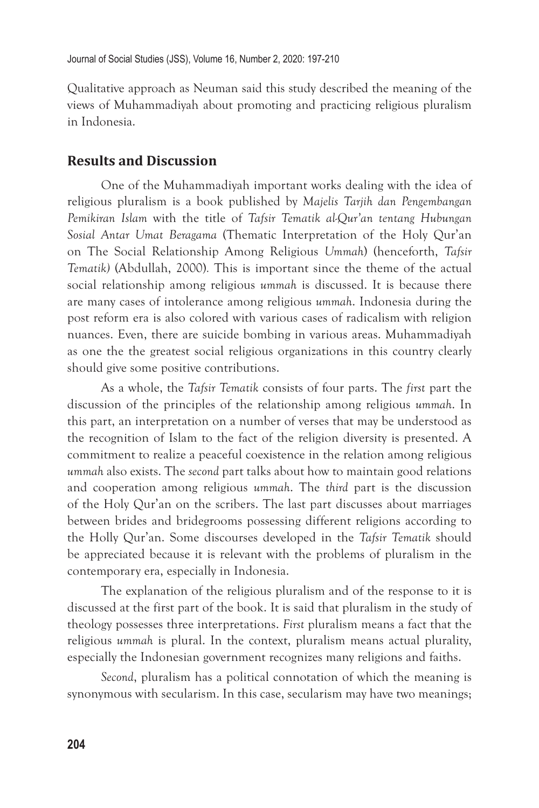Qualitative approach as Neuman said this study described the meaning of the views of Muhammadiyah about promoting and practicing religious pluralism in Indonesia.

### **Results and Discussion**

One of the Muhammadiyah important works dealing with the idea of religious pluralism is a book published by *Majelis Tarjih dan Pengembangan Pemikiran Islam* with the title of *Tafsir Tematik al-Qur'an tentang Hubungan Sosial Antar Umat Beragama* (Thematic Interpretation of the Holy Qur'an on The Social Relationship Among Religious *Ummah*) (henceforth, *Tafsir Tematik)* (Abdullah, 2000)*.* This is important since the theme of the actual social relationship among religious *ummah* is discussed. It is because there are many cases of intolerance among religious *ummah*. Indonesia during the post reform era is also colored with various cases of radicalism with religion nuances. Even, there are suicide bombing in various areas. Muhammadiyah as one the the greatest social religious organizations in this country clearly should give some positive contributions.

As a whole, the *Tafsir Tematik* consists of four parts. The *first* part the discussion of the principles of the relationship among religious *ummah*. In this part, an interpretation on a number of verses that may be understood as the recognition of Islam to the fact of the religion diversity is presented. A commitment to realize a peaceful coexistence in the relation among religious *ummah* also exists. The *second* part talks about how to maintain good relations and cooperation among religious *ummah*. The *third* part is the discussion of the Holy Qur'an on the scribers. The last part discusses about marriages between brides and bridegrooms possessing different religions according to the Holly Qur'an. Some discourses developed in the *Tafsir Tematik* should be appreciated because it is relevant with the problems of pluralism in the contemporary era, especially in Indonesia.

The explanation of the religious pluralism and of the response to it is discussed at the first part of the book. It is said that pluralism in the study of theology possesses three interpretations. *First* pluralism means a fact that the religious *ummah* is plural. In the context, pluralism means actual plurality, especially the Indonesian government recognizes many religions and faiths.

*Second*, pluralism has a political connotation of which the meaning is synonymous with secularism. In this case, secularism may have two meanings;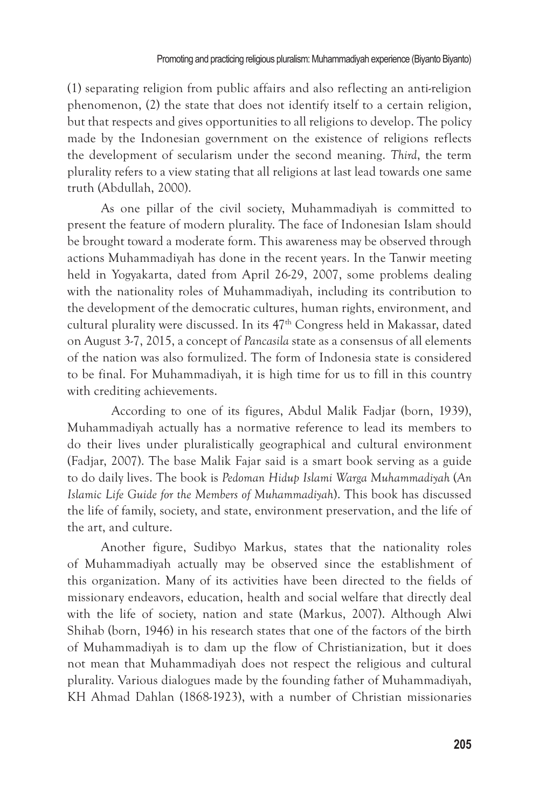(1) separating religion from public affairs and also reflecting an anti-religion phenomenon, (2) the state that does not identify itself to a certain religion, but that respects and gives opportunities to all religions to develop. The policy made by the Indonesian government on the existence of religions reflects the development of secularism under the second meaning. *Third*, the term plurality refers to a view stating that all religions at last lead towards one same truth (Abdullah, 2000).

As one pillar of the civil society, Muhammadiyah is committed to present the feature of modern plurality. The face of Indonesian Islam should be brought toward a moderate form. This awareness may be observed through actions Muhammadiyah has done in the recent years. In the Tanwir meeting held in Yogyakarta, dated from April 26-29, 2007, some problems dealing with the nationality roles of Muhammadiyah, including its contribution to the development of the democratic cultures, human rights, environment, and cultural plurality were discussed. In its 47<sup>th</sup> Congress held in Makassar, dated on August 3-7, 2015, a concept of *Pancasila* state as a consensus of all elements of the nation was also formulized. The form of Indonesia state is considered to be final. For Muhammadiyah, it is high time for us to fill in this country with crediting achievements.

 According to one of its figures, Abdul Malik Fadjar (born, 1939), Muhammadiyah actually has a normative reference to lead its members to do their lives under pluralistically geographical and cultural environment (Fadjar, 2007). The base Malik Fajar said is a smart book serving as a guide to do daily lives. The book is *Pedoman Hidup Islami Warga Muhammadiyah* (*An Islamic Life Guide for the Members of Muhammadiyah*). This book has discussed the life of family, society, and state, environment preservation, and the life of the art, and culture.

Another figure, Sudibyo Markus, states that the nationality roles of Muhammadiyah actually may be observed since the establishment of this organization. Many of its activities have been directed to the fields of missionary endeavors, education, health and social welfare that directly deal with the life of society, nation and state (Markus, 2007). Although Alwi Shihab (born, 1946) in his research states that one of the factors of the birth of Muhammadiyah is to dam up the flow of Christianization, but it does not mean that Muhammadiyah does not respect the religious and cultural plurality. Various dialogues made by the founding father of Muhammadiyah, KH Ahmad Dahlan (1868-1923), with a number of Christian missionaries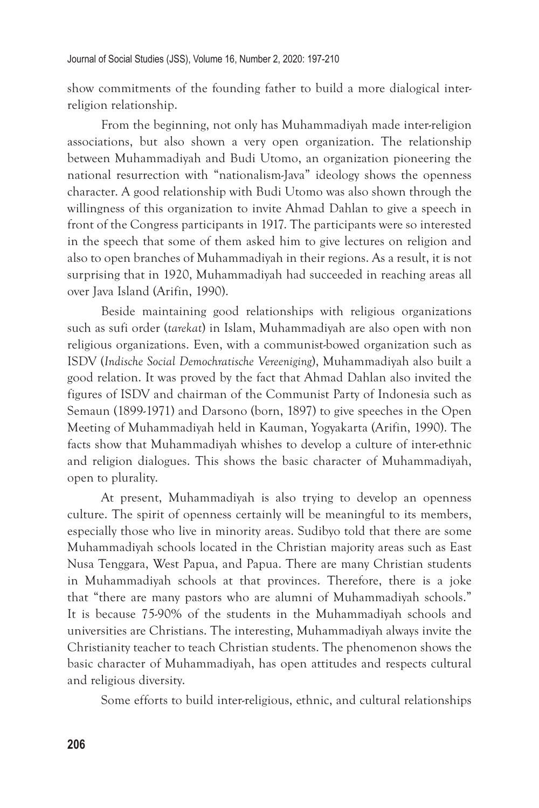show commitments of the founding father to build a more dialogical interreligion relationship.

From the beginning, not only has Muhammadiyah made inter-religion associations, but also shown a very open organization. The relationship between Muhammadiyah and Budi Utomo, an organization pioneering the national resurrection with "nationalism-Java" ideology shows the openness character. A good relationship with Budi Utomo was also shown through the willingness of this organization to invite Ahmad Dahlan to give a speech in front of the Congress participants in 1917. The participants were so interested in the speech that some of them asked him to give lectures on religion and also to open branches of Muhammadiyah in their regions. As a result, it is not surprising that in 1920, Muhammadiyah had succeeded in reaching areas all over Java Island (Arifin, 1990).

Beside maintaining good relationships with religious organizations such as sufi order (*tarekat*) in Islam, Muhammadiyah are also open with non religious organizations. Even, with a communist-bowed organization such as ISDV (*Indische Social Demochratische Vereeniging*), Muhammadiyah also built a good relation. It was proved by the fact that Ahmad Dahlan also invited the figures of ISDV and chairman of the Communist Party of Indonesia such as Semaun (1899-1971) and Darsono (born, 1897) to give speeches in the Open Meeting of Muhammadiyah held in Kauman, Yogyakarta (Arifin, 1990). The facts show that Muhammadiyah whishes to develop a culture of inter-ethnic and religion dialogues. This shows the basic character of Muhammadiyah, open to plurality.

At present, Muhammadiyah is also trying to develop an openness culture. The spirit of openness certainly will be meaningful to its members, especially those who live in minority areas. Sudibyo told that there are some Muhammadiyah schools located in the Christian majority areas such as East Nusa Tenggara, West Papua, and Papua. There are many Christian students in Muhammadiyah schools at that provinces. Therefore, there is a joke that "there are many pastors who are alumni of Muhammadiyah schools." It is because 75-90% of the students in the Muhammadiyah schools and universities are Christians. The interesting, Muhammadiyah always invite the Christianity teacher to teach Christian students. The phenomenon shows the basic character of Muhammadiyah, has open attitudes and respects cultural and religious diversity.

Some efforts to build inter-religious, ethnic, and cultural relationships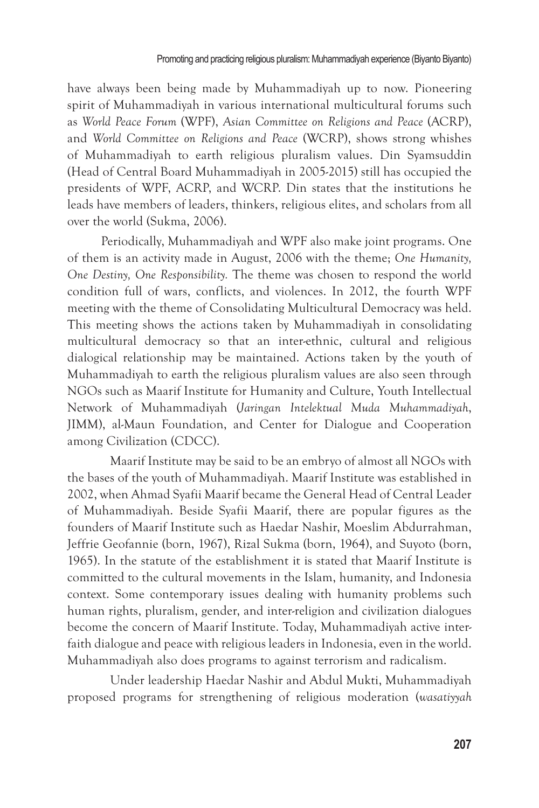have always been being made by Muhammadiyah up to now. Pioneering spirit of Muhammadiyah in various international multicultural forums such as *World Peace Forum* (WPF), *Asian Committee on Religions and Peace* (ACRP), and *World Committee on Religions and Peace* (WCRP), shows strong whishes of Muhammadiyah to earth religious pluralism values. Din Syamsuddin (Head of Central Board Muhammadiyah in 2005-2015) still has occupied the presidents of WPF, ACRP, and WCRP. Din states that the institutions he leads have members of leaders, thinkers, religious elites, and scholars from all over the world (Sukma, 2006).

Periodically, Muhammadiyah and WPF also make joint programs. One of them is an activity made in August, 2006 with the theme; *One Humanity, One Destiny, One Responsibility.* The theme was chosen to respond the world condition full of wars, conflicts, and violences. In 2012, the fourth WPF meeting with the theme of Consolidating Multicultural Democracy was held. This meeting shows the actions taken by Muhammadiyah in consolidating multicultural democracy so that an inter-ethnic, cultural and religious dialogical relationship may be maintained. Actions taken by the youth of Muhammadiyah to earth the religious pluralism values are also seen through NGOs such as Maarif Institute for Humanity and Culture, Youth Intellectual Network of Muhammadiyah (*Jaringan Intelektual Muda Muhammadiyah*, JIMM), al-Maun Foundation, and Center for Dialogue and Cooperation among Civilization (CDCC).

Maarif Institute may be said to be an embryo of almost all NGOs with the bases of the youth of Muhammadiyah. Maarif Institute was established in 2002, when Ahmad Syafii Maarif became the General Head of Central Leader of Muhammadiyah. Beside Syafii Maarif, there are popular figures as the founders of Maarif Institute such as Haedar Nashir, Moeslim Abdurrahman, Jeffrie Geofannie (born, 1967), Rizal Sukma (born, 1964), and Suyoto (born, 1965). In the statute of the establishment it is stated that Maarif Institute is committed to the cultural movements in the Islam, humanity, and Indonesia context. Some contemporary issues dealing with humanity problems such human rights, pluralism, gender, and inter-religion and civilization dialogues become the concern of Maarif Institute. Today, Muhammadiyah active interfaith dialogue and peace with religious leaders in Indonesia, even in the world. Muhammadiyah also does programs to against terrorism and radicalism.

Under leadership Haedar Nashir and Abdul Mukti, Muhammadiyah proposed programs for strengthening of religious moderation (*wasatiyyah*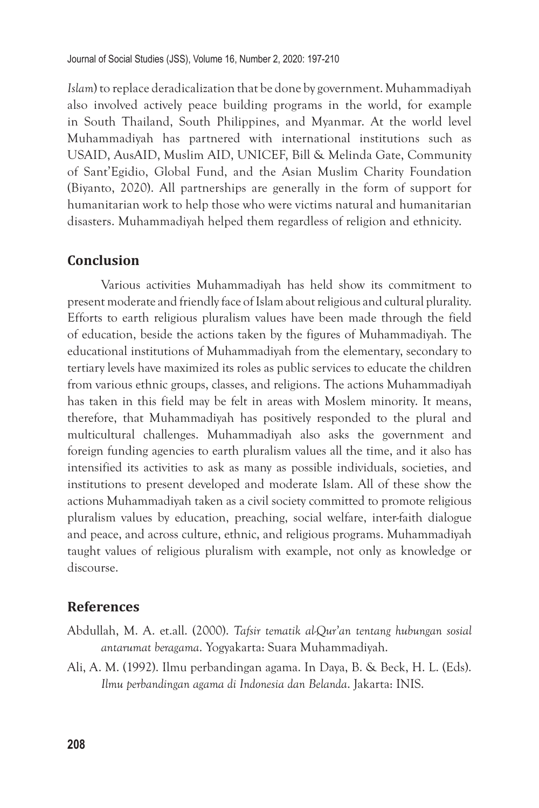*Islam*) to replace deradicalization that be done by government. Muhammadiyah also involved actively peace building programs in the world, for example in South Thailand, South Philippines, and Myanmar. At the world level Muhammadiyah has partnered with international institutions such as USAID, AusAID, Muslim AID, UNICEF, Bill & Melinda Gate, Community of Sant'Egidio, Global Fund, and the Asian Muslim Charity Foundation (Biyanto, 2020). All partnerships are generally in the form of support for humanitarian work to help those who were victims natural and humanitarian disasters. Muhammadiyah helped them regardless of religion and ethnicity.

# **Conclusion**

Various activities Muhammadiyah has held show its commitment to present moderate and friendly face of Islam about religious and cultural plurality. Efforts to earth religious pluralism values have been made through the field of education, beside the actions taken by the figures of Muhammadiyah. The educational institutions of Muhammadiyah from the elementary, secondary to tertiary levels have maximized its roles as public services to educate the children from various ethnic groups, classes, and religions. The actions Muhammadiyah has taken in this field may be felt in areas with Moslem minority. It means, therefore, that Muhammadiyah has positively responded to the plural and multicultural challenges. Muhammadiyah also asks the government and foreign funding agencies to earth pluralism values all the time, and it also has intensified its activities to ask as many as possible individuals, societies, and institutions to present developed and moderate Islam. All of these show the actions Muhammadiyah taken as a civil society committed to promote religious pluralism values by education, preaching, social welfare, inter-faith dialogue and peace, and across culture, ethnic, and religious programs. Muhammadiyah taught values of religious pluralism with example, not only as knowledge or discourse.

# **References**

- Abdullah, M. A. et.all. (2000). *Tafsir tematik al-Qur'an tentang hubungan sosial antarumat beragama*. Yogyakarta: Suara Muhammadiyah.
- Ali, A. M. (1992). Ilmu perbandingan agama. In Daya, B. & Beck, H. L. (Eds). *Ilmu perbandingan agama di Indonesia dan Belanda*. Jakarta: INIS.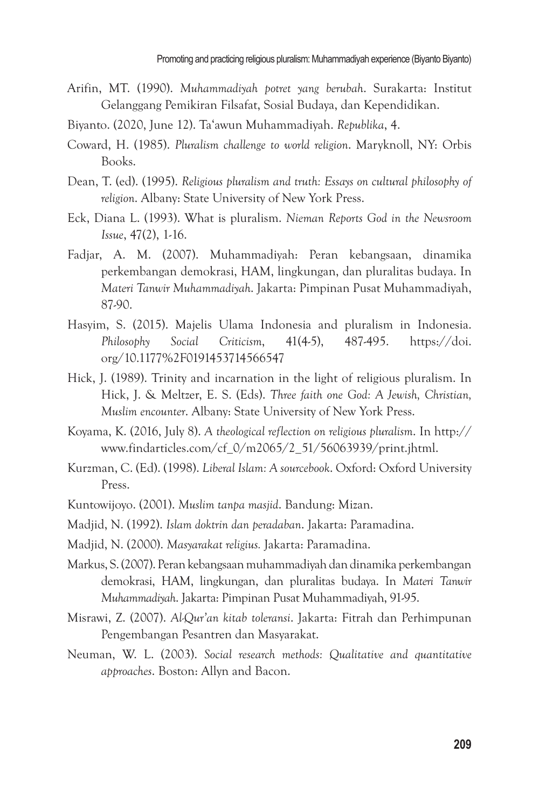- Arifin, MT. (1990). *Muhammadiyah potret yang berubah*. Surakarta: Institut Gelanggang Pemikiran Filsafat, Sosial Budaya, dan Kependidikan.
- Biyanto. (2020, June 12). Ta'awun Muhammadiyah. *Republika*, 4.
- Coward, H. (1985). *Pluralism challenge to world religion*. Maryknoll, NY: Orbis Books.
- Dean, T. (ed). (1995). *Religious pluralism and truth: Essays on cultural philosophy of religion*. Albany: State University of New York Press.
- Eck, Diana L. (1993). What is pluralism. *Nieman Reports God in the Newsroom Issue*, 47(2), 1-16.
- Fadjar, A. M. (2007). Muhammadiyah: Peran kebangsaan, dinamika perkembangan demokrasi, HAM, lingkungan, dan pluralitas budaya. In *Materi Tanwir Muhammadiyah*. Jakarta: Pimpinan Pusat Muhammadiyah, 87-90.
- Hasyim, S. (2015). Majelis Ulama Indonesia and pluralism in Indonesia. *Philosophy Social Criticism*, 41(4-5), 487-495. https://doi. org/10.1177%2F0191453714566547
- Hick, J. (1989). Trinity and incarnation in the light of religious pluralism. In Hick, J. & Meltzer, E. S. (Eds). *Three faith one God: A Jewish, Christian, Muslim encounter*. Albany: State University of New York Press.
- Koyama, K. (2016, July 8). *A theological reflection on religious pluralism*. In http:// www.findarticles.com/cf\_0/m2065/2\_51/56063939/print.jhtml.
- Kurzman, C. (Ed). (1998). *Liberal Islam: A sourcebook*. Oxford: Oxford University Press.
- Kuntowijoyo. (2001). *Muslim tanpa masjid*. Bandung: Mizan.
- Madjid, N. (1992). *Islam doktrin dan peradaban*. Jakarta: Paramadina.
- Madjid, N. (2000). *Masyarakat religius.* Jakarta: Paramadina.
- Markus, S. (2007). Peran kebangsaan muhammadiyah dan dinamika perkembangan demokrasi, HAM, lingkungan, dan pluralitas budaya. In *Materi Tanwir Muhammadiyah*. Jakarta: Pimpinan Pusat Muhammadiyah, 91-95.
- Misrawi, Z. (2007). *Al-Qur'an kitab toleransi*. Jakarta: Fitrah dan Perhimpunan Pengembangan Pesantren dan Masyarakat.
- Neuman, W. L. (2003). *Social research methods: Qualitative and quantitative approaches*. Boston: Allyn and Bacon.